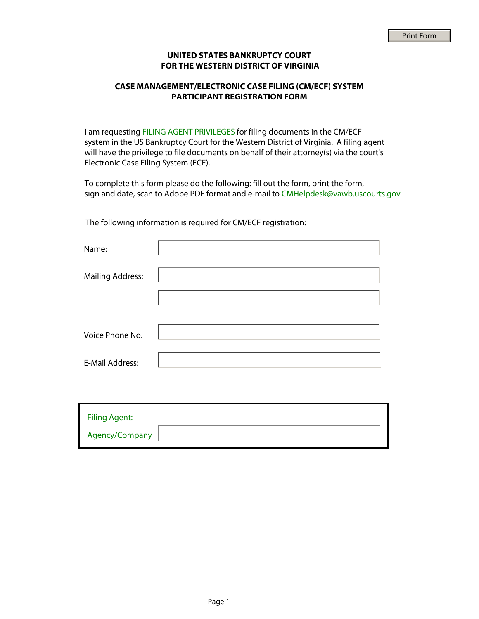## **UNITED STATES BANKRUPTCY COURT FOR THE WESTERN DISTRICT OF VIRGINIA**

## **CASE MANAGEMENT/ELECTRONIC CASE FILING (CM/ECF) SYSTEM PARTICIPANT REGISTRATION FORM**

I am requesting FILING AGENT PRIVILEGES for filing documents in the CM/ECF system in the US Bankruptcy Court for the Western District of Virginia. A filing agent will have the privilege to file documents on behalf of their attorney(s) via the court's Electronic Case Filing System (ECF).

To complete this form please do the following: fill out the form, print the form, sign and date, scan to Adobe PDF format and e-mail to CMHelpdesk@vawb.uscourts.gov

The following information is required for CM/ECF registration:

| Name:                   |  |
|-------------------------|--|
| <b>Mailing Address:</b> |  |
|                         |  |
|                         |  |
| Voice Phone No.         |  |
| <b>E-Mail Address:</b>  |  |

| <b>Filing Agent:</b> |  |
|----------------------|--|
| Agency/Company       |  |